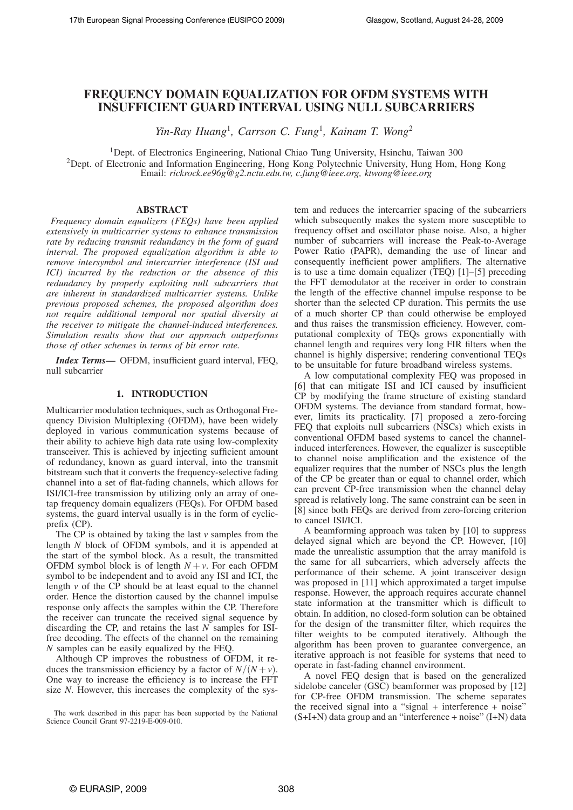# **FREQUENCY DOMAIN EQUALIZATION FOR OFDM SYSTEMS WITH INSUFFICIENT GUARD INTERVAL USING NULL SUBCARRIERS**

*Yin-Ray Huang*<sup>1</sup> *, Carrson C. Fung*<sup>1</sup>*, Kainam T. Wong*<sup>2</sup>

1Dept. of Electronics Engineering, National Chiao Tung University, Hsinchu, Taiwan 300 <sup>2</sup>Dept. of Electronic and Information Engineering, Hong Kong Polytechnic University, Hung Hom, Hong Kong Email: *rickrock.ee96g@g2.nctu.edu.tw, c.fung@ieee.org, ktwong@ieee.org*

# **ABSTRACT**

*Frequency domain equalizers (FEQs) have been applied extensively in multicarrier systems to enhance transmission rate by reducing transmit redundancy in the form of guard interval. The proposed equalization algorithm is able to remove intersymbol and intercarrier interference (ISI and ICI) incurred by the reduction or the absence of this redundancy by properly exploiting null subcarriers that are inherent in standardized multicarrier systems. Unlike previous proposed schemes, the proposed algorithm does not require additional temporal nor spatial diversity at the receiver to mitigate the channel-induced interferences. Simulation results show that our approach outperforms those of other schemes in terms of bit error rate.*

*Index Terms***—** OFDM, insufficient guard interval, FEQ, null subcarrier

# **1. INTRODUCTION**

Multicarrier modulation techniques, such as Orthogonal Frequency Division Multiplexing (OFDM), have been widely deployed in various communication systems because of their ability to achieve high data rate using low-complexity transceiver. This is achieved by injecting sufficient amount of redundancy, known as guard interval, into the transmit bitstream such that it converts the frequency-selective fading channel into a set of flat-fading channels, which allows for ISI/ICI-free transmission by utilizing only an array of onetap frequency domain equalizers (FEQs). For OFDM based systems, the guard interval usually is in the form of cyclicprefix (CP).

The CP is obtained by taking the last *v* samples from the length *N* block of OFDM symbols, and it is appended at the start of the symbol block. As a result, the transmitted OFDM symbol block is of length  $N + v$ . For each OFDM symbol to be independent and to avoid any ISI and ICI, the length *v* of the CP should be at least equal to the channel order. Hence the distortion caused by the channel impulse response only affects the samples within the CP. Therefore the receiver can truncate the received signal sequence by discarding the CP, and retains the last *N* samples for ISIfree decoding. The effects of the channel on the remaining *N* samples can be easily equalized by the FEQ.

Although CP improves the robustness of OFDM, it reduces the transmission efficiency by a factor of  $N/(N+v)$ . One way to increase the efficiency is to increase the FFT size *N*. However, this increases the complexity of the sys-

The work described in this paper has been supported by the National Science Council Grant 97-2219-E-009-010.

tem and reduces the intercarrier spacing of the subcarriers which subsequently makes the system more susceptible to frequency offset and oscillator phase noise. Also, a higher number of subcarriers will increase the Peak-to-Average Power Ratio (PAPR), demanding the use of linear and consequently inefficient power amplifiers. The alternative is to use a time domain equalizer (TEQ) [1]–[5] preceding the FFT demodulator at the receiver in order to constrain the length of the effective channel impulse response to be shorter than the selected CP duration. This permits the use of a much shorter CP than could otherwise be employed and thus raises the transmission efficiency. However, computational complexity of TEQs grows exponentially with channel length and requires very long FIR filters when the channel is highly dispersive; rendering conventional TEQs to be unsuitable for future broadband wireless systems.

A low computational complexity FEQ was proposed in [6] that can mitigate ISI and ICI caused by insufficient CP by modifying the frame structure of existing standard OFDM systems. The deviance from standard format, however, limits its practicality. [7] proposed a zero-forcing FEQ that exploits null subcarriers (NSCs) which exists in conventional OFDM based systems to cancel the channelinduced interferences. However, the equalizer is susceptible to channel noise amplification and the existence of the equalizer requires that the number of NSCs plus the length of the CP be greater than or equal to channel order, which can prevent CP-free transmission when the channel delay spread is relatively long. The same constraint can be seen in [8] since both FEQs are derived from zero-forcing criterion to cancel ISI/ICI.

A beamforming approach was taken by [10] to suppress delayed signal which are beyond the CP. However, [10] made the unrealistic assumption that the array manifold is the same for all subcarriers, which adversely affects the performance of their scheme. A joint transceiver design was proposed in [11] which approximated a target impulse response. However, the approach requires accurate channel state information at the transmitter which is difficult to obtain. In addition, no closed-form solution can be obtained for the design of the transmitter filter, which requires the filter weights to be computed iteratively. Although the algorithm has been proven to guarantee convergence, an iterative approach is not feasible for systems that need to operate in fast-fading channel environment.

A novel FEQ design that is based on the generalized sidelobe canceler (GSC) beamformer was proposed by [12] for CP-free OFDM transmission. The scheme separates the received signal into a "signal + interference + noise" (S+I+N) data group and an "interference + noise" (I+N) data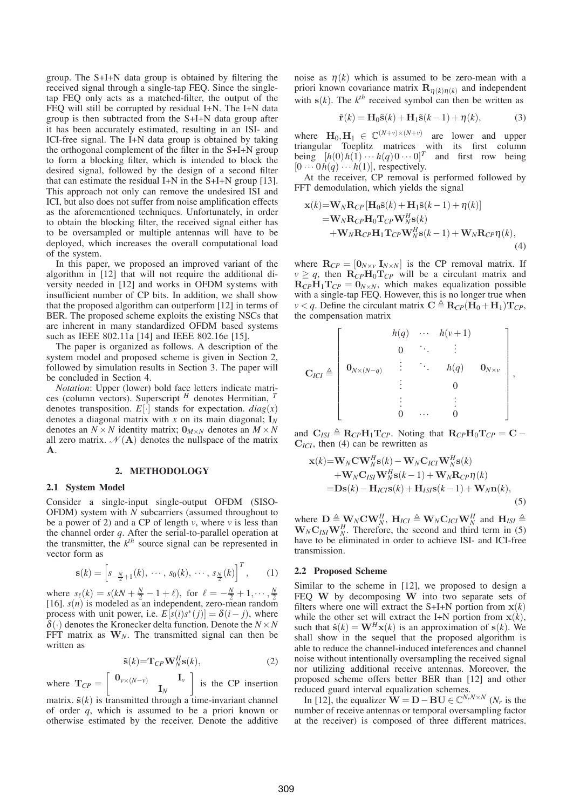group. The S+I+N data group is obtained by filtering the received signal through a single-tap FEQ. Since the singletap FEQ only acts as a matched-filter, the output of the FEQ will still be corrupted by residual I+N. The I+N data group is then subtracted from the S+I+N data group after it has been accurately estimated, resulting in an ISI- and ICI-free signal. The I+N data group is obtained by taking the orthogonal complement of the filter in the S+I+N group to form a blocking filter, which is intended to block the desired signal, followed by the design of a second filter that can estimate the residual I+N in the S+I+N group [13]. This approach not only can remove the undesired ISI and ICI, but also does not suffer from noise amplification effects as the aforementioned techniques. Unfortunately, in order to obtain the blocking filter, the received signal either has to be oversampled or multiple antennas will have to be deployed, which increases the overall computational load of the system.

In this paper, we proposed an improved variant of the algorithm in [12] that will not require the additional diversity needed in [12] and works in OFDM systems with insufficient number of CP bits. In addition, we shall show that the proposed algorithm can outperform [12] in terms of BER. The proposed scheme exploits the existing NSCs that are inherent in many standardized OFDM based systems such as IEEE 802.11a [14] and IEEE 802.16e [15].

The paper is organized as follows. A description of the system model and proposed scheme is given in Section 2, followed by simulation results in Section 3. The paper will be concluded in Section 4.

*Notation*: Upper (lower) bold face letters indicate matrices (column vectors). Superscript *<sup>H</sup>* denotes Hermitian, *<sup>T</sup>* denotes transposition.  $E[\cdot]$  stands for expectation.  $diag(x)$ denotes a diagonal matrix with *x* on its main diagonal; **I***<sup>N</sup>* denotes an  $N \times N$  identity matrix;  $\mathbf{0}_{M \times N}$  denotes an  $M \times N$ all zero matrix.  $\mathcal{N}(\mathbf{A})$  denotes the nullspace of the matrix **A**.

# **2. METHODOLOGY**

# **2.1 System Model**

Consider a single-input single-output OFDM (SISO-OFDM) system with *N* subcarriers (assumed throughout to be a power of 2) and a CP of length *v*, where *v* is less than the channel order *q*. After the serial-to-parallel operation at the transmitter, the  $k^{th}$  source signal can be represented in vector form as

$$
\mathbf{s}(k) = \left[s_{-\frac{N}{2}+1}(k), \cdots, s_0(k), \cdots, s_{\frac{N}{2}}(k)\right]^T, \qquad (1)
$$

where  $s_{\ell}(k) = s(kN + \frac{N}{2} - 1 + \ell)$ , for  $\ell = -\frac{N}{2} + 1, \dots, \frac{N}{2}$  [16]. *s*(*n*) is modeled as an independent, zero-mean random process with unit power, i.e.  $E[s(i)s^*(j)] = \delta(i-j)$ , where  $\delta(\cdot)$  denotes the Kronecker delta function. Denote the  $N \times N$ FFT matrix as  $W_N$ . The transmitted signal can then be written as

$$
\tilde{\mathbf{s}}(k) = \mathbf{T}_{CP} \mathbf{W}_N^H \mathbf{s}(k),\tag{2}
$$

where  $\mathbf{T}_{CP} = \begin{bmatrix} \mathbf{0}_{v \times (N-v)} & \mathbf{I}_v \end{bmatrix}$  $\mathbf{I}_N$ is the CP insertion

matrix.  $\tilde{\mathbf{s}}(k)$  is transmitted through a time-invariant channel of order *q*, which is assumed to be a priori known or otherwise estimated by the receiver. Denote the additive noise as  $\eta(k)$  which is assumed to be zero-mean with a priori known covariance matrix  $\mathbf{R}_{\eta(k)\eta(k)}$  and independent with  $s(k)$ . The  $k^{th}$  received symbol can then be written as

$$
\tilde{\mathbf{r}}(k) = \mathbf{H}_0 \tilde{\mathbf{s}}(k) + \mathbf{H}_1 \tilde{\mathbf{s}}(k-1) + \eta(k),
$$
 (3)

where  $\mathbf{H}_0, \mathbf{H}_1 \in \mathbb{C}^{(N+v)\times(N+v)}$  are lower and upper triangular Toeplitz matrices with its first column being  $[h(0)h(1) \cdots h(q)0 \cdots 0]^T$  and first row being  $[0 \cdots 0 \, h(q) \cdots h(1)]$ , respectively.

At the receiver, CP removal is performed followed by FFT demodulation, which yields the signal

$$
\mathbf{x}(k) = \mathbf{W}_{N} \mathbf{R}_{CP} [\mathbf{H}_{0} \tilde{\mathbf{s}}(k) + \mathbf{H}_{1} \tilde{\mathbf{s}}(k-1) + \eta(k)]
$$
  
\n
$$
= \mathbf{W}_{N} \mathbf{R}_{CP} \mathbf{H}_{0} \mathbf{T}_{CP} \mathbf{W}_{N}^{H} \mathbf{s}(k)
$$
  
\n
$$
+ \mathbf{W}_{N} \mathbf{R}_{CP} \mathbf{H}_{1} \mathbf{T}_{CP} \mathbf{W}_{N}^{H} \mathbf{s}(k-1) + \mathbf{W}_{N} \mathbf{R}_{CP} \eta(k),
$$
\n(4)

where  $\mathbf{R}_{CP} = [\mathbf{0}_{N \times V} \mathbf{I}_{N \times N}]$  is the CP removal matrix. If  $v \geq q$ , then  $\mathbf{R}_{CP}\mathbf{H}_0\mathbf{T}_{CP}$  will be a circulant matrix and  $\mathbf{R}_{CP}\mathbf{H}_1\mathbf{T}_{CP} = \mathbf{0}_{N \times N}$ , which makes equalization possible with a single-tap FEQ. However, this is no longer true when  $\nu < q$ . Define the circulant matrix  $\mathbf{C} \triangleq \mathbf{R}_{CP}(\mathbf{H}_0 + \mathbf{H}_1) \mathbf{T}_{CP}$ , the compensation matrix

$$
\mathbf{C}_{ICI} \triangleq \left[\begin{array}{cccc} & h(q) & \cdots & h(\nu+1) \\ & 0 & \ddots & \vdots \\ & & \ddots & h(q) & \mathbf{0}_{N\times \nu} \\ & & \vdots & \ddots & h(q) & \mathbf{0}_{N\times \nu} \\ & & \vdots & & \vdots & \\ & & \ddots & & \vdots & \\ & & & 0 & \cdots & 0 \end{array}\right],
$$

and  $\mathbf{C}_{ISI} \triangleq \mathbf{R}_{CP}\mathbf{H}_1\mathbf{T}_{CP}$ . Noting that  $\mathbf{R}_{CP}\mathbf{H}_0\mathbf{T}_{CP} = \mathbf{C} - \mathbf{C}$ **C***ICI*, then (4) can be rewritten as

$$
\mathbf{x}(k) = \mathbf{W}_{N} \mathbf{C} \mathbf{W}_{N}^{H} \mathbf{s}(k) - \mathbf{W}_{N} \mathbf{C}_{ICI} \mathbf{W}_{N}^{H} \mathbf{s}(k) + \mathbf{W}_{N} \mathbf{C}_{ISI} \mathbf{W}_{N}^{H} \mathbf{s}(k-1) + \mathbf{W}_{N} \mathbf{R}_{CP} \eta(k) = \mathbf{D} \mathbf{s}(k) - \mathbf{H}_{ICI} \mathbf{s}(k) + \mathbf{H}_{ISI} \mathbf{s}(k-1) + \mathbf{W}_{N} \mathbf{n}(k),
$$
\n(5)

where  $\mathbf{D} \triangleq \mathbf{W}_N \mathbf{C} \mathbf{W}_N^H$ ,  $\mathbf{H}_{ICI} \triangleq \mathbf{W}_N \mathbf{C}_{ICI} \mathbf{W}_N^H$  and  $\mathbf{H}_{ISI} \triangleq$  $\mathbf{W}_N \mathbf{C}_{ISI} \mathbf{W}_N^H$ . Therefore, the second and third term in (5) have to be eliminated in order to achieve ISI- and ICI-free transmission.

#### **2.2 Proposed Scheme**

Similar to the scheme in [12], we proposed to design a FEQ **W** by decomposing **W** into two separate sets of filters where one will extract the S+I+N portion from  $\mathbf{x}(k)$ while the other set will extract the I+N portion from  $x(k)$ , such that  $\hat{\mathbf{s}}(k) = \mathbf{W}^H \mathbf{x}(k)$  is an approximation of  $\mathbf{s}(k)$ . We shall show in the sequel that the proposed algorithm is able to reduce the channel-induced inteferences and channel noise without intentionally oversampling the received signal nor utilizing additional receive antennas. Moreover, the proposed scheme offers better BER than [12] and other reduced guard interval equalization schemes.

In [12], the equalizer  $\hat{\mathbf{W}} = \mathbf{D} - \mathbf{B}\mathbf{U} \in \mathbb{C}^{N_rN \times N}$  (*N<sub>r</sub>* is the number of receive antennas or temporal oversampling factor at the receiver) is composed of three different matrices.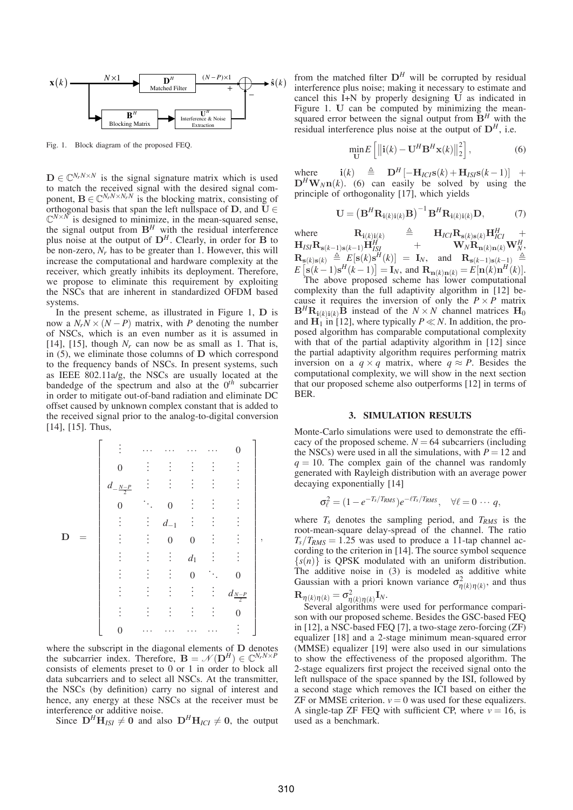

Fig. 1. Block diagram of the proposed FEQ.

 $\mathbf{D} \in \mathbb{C}^{N_r N \times N}$  is the signal signature matrix which is used to match the received signal with the desired signal component,  $\mathbf{B} \in \mathbb{C}^{N_rN \times N_rN}$  is the blocking matrix, consisting of orthogonal basis that span the left nullspace of **D**, and  $\mathbf{U} \in$  $\mathbb{C}^{N \times N}$  is designed to minimize, in the mean-squared sense, the signal output from  $B^H$  with the residual interference plus noise at the output of  $D^H$ . Clearly, in order for **B** to be non-zero, *Nr* has to be greater than 1. However, this will increase the computational and hardware complexity at the receiver, which greatly inhibits its deployment. Therefore, we propose to eliminate this requirement by exploiting the NSCs that are inherent in standardized OFDM based systems.

In the present scheme, as illustrated in Figure 1, **D** is now a  $N_rN \times (N - P)$  matrix, with *P* denoting the number of NSCs, which is an even number as it is assumed in [14], [15], though  $N_r$  can now be as small as 1. That is, in (5), we eliminate those columns of **D** which correspond to the frequency bands of NSCs. In present systems, such as IEEE 802.11a/g, the NSCs are usually located at the bandedge of the spectrum and also at the  $0<sup>th</sup>$  subcarrier in order to mitigate out-of-band radiation and eliminate DC offset caused by unknown complex constant that is added to the received signal prior to the analog-to-digital conversion [14], [15]. Thus,

$$
\mathbf{D} = \begin{bmatrix} \vdots & \cdots & \cdots & \cdots & \cdots & 0 \\ 0 & \vdots & \vdots & \vdots & \vdots & \vdots \\ d_{-\frac{N-P}{2}} & \vdots & \vdots & \vdots & \vdots & \vdots \\ 0 & \ddots & 0 & \vdots & \vdots & \vdots \\ \vdots & \vdots & d_{-1} & \vdots & \vdots & \vdots \\ \vdots & \vdots & 0 & 0 & \vdots & \vdots \\ \vdots & \vdots & \vdots & d_1 & \vdots & \vdots \\ \vdots & \vdots & \vdots & \vdots & 0 & \ddots & 0 \\ \vdots & \vdots & \vdots & \vdots & \vdots & \vdots & d_{\frac{N-P}{2}} \\ 0 & \cdots & \cdots & \cdots & \cdots & \vdots \end{bmatrix},
$$

where the subscript in the diagonal elements of **D** denotes the subcarrier index. Therefore,  $\mathbf{B} = \mathcal{N}(\mathbf{D}^H) \in \mathbb{C}^{N_r N \times P}$ consists of elements preset to 0 or 1 in order to block all data subcarriers and to select all NSCs. At the transmitter, the NSCs (by definition) carry no signal of interest and hence, any energy at these NSCs at the receiver must be interference or additive noise.

Since  $D^H H_{ISI} \neq 0$  and also  $D^H H_{ICI} \neq 0$ , the output

from the matched filter  $D^H$  will be corrupted by residual interference plus noise; making it necessary to estimate and cancel this I+N by properly designing **U** as indicated in Figure 1. **U** can be computed by minimizing the meansquared error between the signal output from  $\mathbf{B}^H$  with the residual interference plus noise at the output of  $D<sup>H</sup>$ , i.e.

$$
\min_{\mathbf{U}} E\left[\left\|\mathbf{i}(k) - \mathbf{U}^H \mathbf{B}^H \mathbf{x}(k)\right\|_2^2\right],\tag{6}
$$

where  $\mathbf{i}(k) \triangleq \mathbf{D}^H[-\mathbf{H}_{ICI}\mathbf{s}(k) + \mathbf{H}_{ISI}\mathbf{s}(k-1)] +$  $D^H W_N n(k)$ . (6) can easily be solved by using the principle of orthogonality [17], which yields

$$
\mathbf{U} = \left(\mathbf{B}^H \mathbf{R}_{i(k)i(k)} \mathbf{B}\right)^{-1} \mathbf{B}^H \mathbf{R}_{i(k)i(k)} \mathbf{D},\tag{7}
$$

where  $\mathbf{R}_{\mathbf{i}(k)\mathbf{i}(k)} \stackrel{\Delta}{=} \mathbf{H}_{ICI}\mathbf{R}_{\mathbf{s}(k)\mathbf{s}(k)}\mathbf{H}_{ICI}^H \quad +$  $\mathbf{H}_{ISI} \mathbf{R}_{\mathbf{s}(k-1)\mathbf{s}(k-1)} \mathbf{H}_{ISI}^H \qquad + \qquad \mathbf{W}_N \mathbf{R}_{\mathbf{n}(k)\mathbf{n}(k)} \mathbf{W}_N^H,$  $\mathbf{R}_{\mathbf{s}(k)\mathbf{s}(k)} \triangleq E[\mathbf{s}(k)\mathbf{s}^{H}(k)] = \mathbf{I}_{N}$ , and  $\mathbf{R}_{\mathbf{s}(k-1)\mathbf{s}(k-1)} \triangleq E[\mathbf{s}(k-1)\mathbf{s}^{H}(k-1)] = \mathbf{I}_{N}$ , and  $\mathbf{R}_{\mathbf{n}(k)\mathbf{n}(k)} = E[\mathbf{n}(k)\mathbf{n}^{H}(k)]$ .

The above proposed scheme has lower computational complexity than the full adaptivity algorithm in [12] because it requires the inversion of only the  $P \times P$  matrix  $\mathbf{B}^H \mathbf{R}_{\mathbf{i}(k)\mathbf{i}(k)} \mathbf{B}$  instead of the  $N \times N$  channel matrices  $\mathbf{H}_0$ and  $\mathbf{H}_1$  in [12], where typically  $P \ll N$ . In addition, the proposed algorithm has comparable computational complexity with that of the partial adaptivity algorithm in [12] since the partial adaptivity algorithm requires performing matrix inversion on a  $q \times q$  matrix, where  $q \approx P$ . Besides the computational complexity, we will show in the next section that our proposed scheme also outperforms [12] in terms of BER.

# **3. SIMULATION RESULTS**

Monte-Carlo simulations were used to demonstrate the efficacy of the proposed scheme.  $N = 64$  subcarriers (including the NSCs) were used in all the simulations, with  $P = 12$  and  $q = 10$ . The complex gain of the channel was randomly generated with Rayleigh distribution with an average power decaying exponentially [14]

$$
\sigma_{\ell}^2 = (1 - e^{-T_s/T_{RMS}})e^{-\ell T_s/T_{RMS}}, \quad \forall \ell = 0 \cdots q,
$$

where  $T_s$  denotes the sampling period, and  $T_{RMS}$  is the root-mean-square delay-spread of the channel. The ratio  $T_s/T_{RMS} = 1.25$  was used to produce a 11-tap channel according to the criterion in [14]. The source symbol sequence  ${s(n)}$  is QPSK modulated with an uniform distribution. The additive noise in (3) is modeled as additive white Gaussian with a priori known variance  $\sigma_{\eta(k)\eta(k)}^2$ , and thus  $\mathbf{R}_{\eta(k)\eta(k)} = \sigma_{\eta(k)\eta(k)}^2 \mathbf{I}_N.$ 

Several algorithms were used for performance comparison with our proposed scheme. Besides the GSC-based FEQ in [12], a NSC-based FEQ [7], a two-stage zero-forcing (ZF) equalizer [18] and a 2-stage minimum mean-squared error (MMSE) equalizer [19] were also used in our simulations to show the effectiveness of the proposed algorithm. The 2-stage equalizers first project the received signal onto the left nullspace of the space spanned by the ISI, followed by a second stage which removes the ICI based on either the ZF or MMSE criterion.  $v = 0$  was used for these equalizers. A single-tap ZF FEQ with sufficient CP, where  $v = 16$ , is used as a benchmark.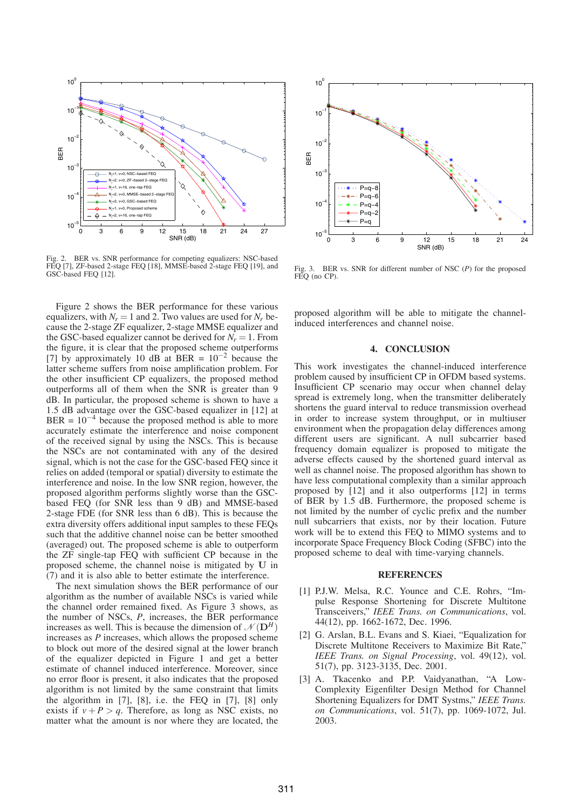

Fig. 2. BER vs. SNR performance for competing equalizers: NSC-based FEQ [7], ZF-based 2-stage FEQ [18], MMSE-based 2-stage FEQ [19], and GSC-based FEQ [12].

Figure 2 shows the BER performance for these various equalizers, with  $N_r = 1$  and 2. Two values are used for  $N_r$  because the 2-stage ZF equalizer, 2-stage MMSE equalizer and the GSC-based equalizer cannot be derived for  $N_r = 1$ . From the figure, it is clear that the proposed scheme outperforms [7] by approximately 10 dB at BER =  $10^{-2}$  because the latter scheme suffers from noise amplification problem. For the other insufficient CP equalizers, the proposed method outperforms all of them when the SNR is greater than 9 dB. In particular, the proposed scheme is shown to have a 1.5 dB advantage over the GSC-based equalizer in [12] at BER =  $10^{-4}$  because the proposed method is able to more accurately estimate the interference and noise component of the received signal by using the NSCs. This is because the NSCs are not contaminated with any of the desired signal, which is not the case for the GSC-based FEQ since it relies on added (temporal or spatial) diversity to estimate the interference and noise. In the low SNR region, however, the proposed algorithm performs slightly worse than the GSCbased FEQ (for SNR less than 9 dB) and MMSE-based 2-stage FDE (for SNR less than 6 dB). This is because the extra diversity offers additional input samples to these FEQs such that the additive channel noise can be better smoothed (averaged) out. The proposed scheme is able to outperform the ZF single-tap FEQ with sufficient CP because in the proposed scheme, the channel noise is mitigated by **U** in (7) and it is also able to better estimate the interference.

The next simulation shows the BER performance of our algorithm as the number of available NSCs is varied while the channel order remained fixed. As Figure 3 shows, as the number of NSCs, *P*, increases, the BER performance increases as well. This is because the dimension of  $\mathcal{N}(\mathbf{D}^H)$ increases as *P* increases, which allows the proposed scheme to block out more of the desired signal at the lower branch of the equalizer depicted in Figure 1 and get a better estimate of channel induced interference. Moreover, since no error floor is present, it also indicates that the proposed algorithm is not limited by the same constraint that limits the algorithm in [7], [8], i.e. the FEQ in [7], [8] only exists if  $v + P > q$ . Therefore, as long as NSC exists, no matter what the amount is nor where they are located, the



Fig. 3. BER vs. SNR for different number of NSC (*P*) for the proposed FEQ (no CP).

proposed algorithm will be able to mitigate the channelinduced interferences and channel noise.

## **4. CONCLUSION**

This work investigates the channel-induced interference problem caused by insufficient CP in OFDM based systems. Insufficient CP scenario may occur when channel delay spread is extremely long, when the transmitter deliberately shortens the guard interval to reduce transmission overhead in order to increase system throughput, or in multiuser environment when the propagation delay differences among different users are significant. A null subcarrier based frequency domain equalizer is proposed to mitigate the adverse effects caused by the shortened guard interval as well as channel noise. The proposed algorithm has shown to have less computational complexity than a similar approach proposed by [12] and it also outperforms [12] in terms of BER by 1.5 dB. Furthermore, the proposed scheme is not limited by the number of cyclic prefix and the number null subcarriers that exists, nor by their location. Future work will be to extend this FEQ to MIMO systems and to incorporate Space Frequency Block Coding (SFBC) into the proposed scheme to deal with time-varying channels.

#### **REFERENCES**

- [1] P.J.W. Melsa, R.C. Younce and C.E. Rohrs, "Impulse Response Shortening for Discrete Multitone Transceivers," *IEEE Trans. on Communications*, vol. 44(12), pp. 1662-1672, Dec. 1996.
- [2] G. Arslan, B.L. Evans and S. Kiaei, "Equalization for Discrete Multitone Receivers to Maximize Bit Rate," *IEEE Trans. on Signal Processing*, vol. 49(12), vol. 51(7), pp. 3123-3135, Dec. 2001.
- [3] A. Tkacenko and P.P. Vaidyanathan, "A Low-Complexity Eigenfilter Design Method for Channel Shortening Equalizers for DMT Systms," *IEEE Trans. on Communications*, vol. 51(7), pp. 1069-1072, Jul. 2003.